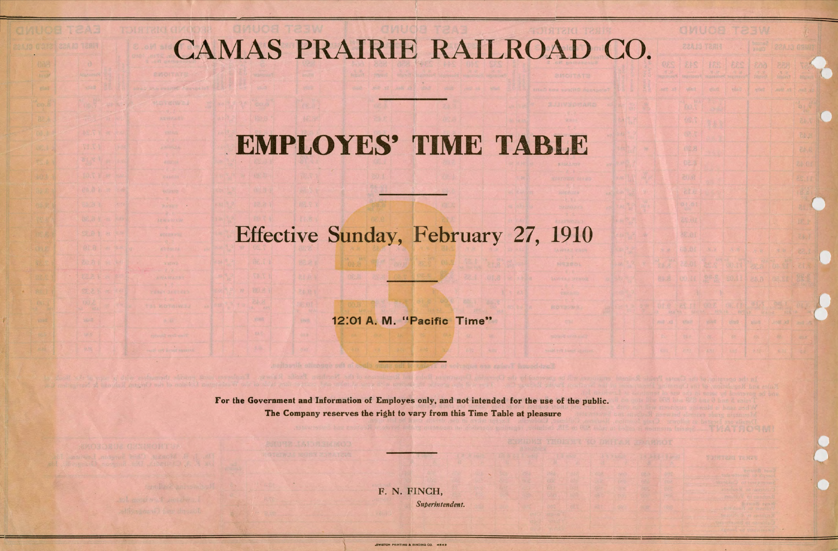## CAMAS PRAIRIE RAILROAD CO.

## **EMPLOYES'** TIME TABLE

## Effective Sunday, February 27, 1910

12:01 **A. M.** "Pacific Time"

F. N. FINCH, Superintendent.

For the Government and Information of Employes only, and not intended for the use of the public. The Company reserves the right to vary from this Time Table at pleasure

**ENUMERATIONS IN 1801** 

..£WISTON PRINTING & BINDING CO. **4942**